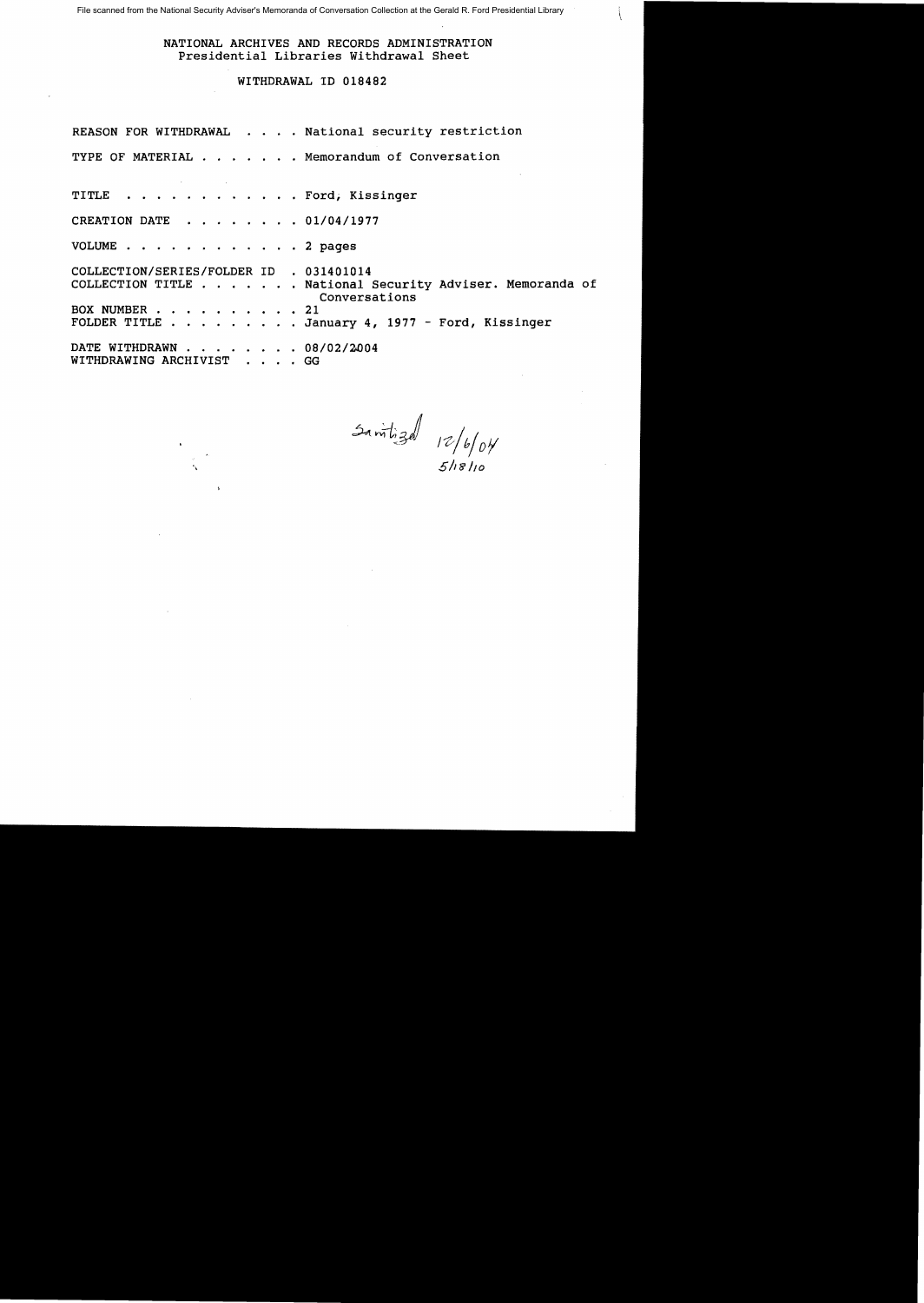File scanned from the National Security Adviser's Memoranda of Conversation Collection at the Gerald R. Ford Presidential Library

NATIONAL ARCHIVES AND RECORDS ADMINISTRATION Presidential Libraries Withdrawal Sheet

WITHDRAWAL ID 018482

REASON FOR WITHDRAWAL . . . . National security restriction TYPE OF MATERIAL . . . . . . Memorandum of Conversation TITLE . . . . . . . . . . . . Ford, Kissinger CREATION DATE  $\cdot \cdot \cdot \cdot \cdot \cdot 01/04/1977$ VOLUME . . . • 2 pages COLLECTION/SERIES/FOLDER ID . 031401014 COLLECTION TITLE . . . . . . National Security Adviser. Memoranda of Conversations<br>21 BOX NUMBER . . . . .<br>FOLDER TITLE . . . . . . . January 4, 1977 - Ford, Kissinger DATE WITHDRAWN . . . . . . . 08/02/2004 WITHDRAWING ARCHIVIST . . . . GG

 $3a$   $m$  $b$   $3a$   $12/b$   $6y$ <br> $51b$   $110$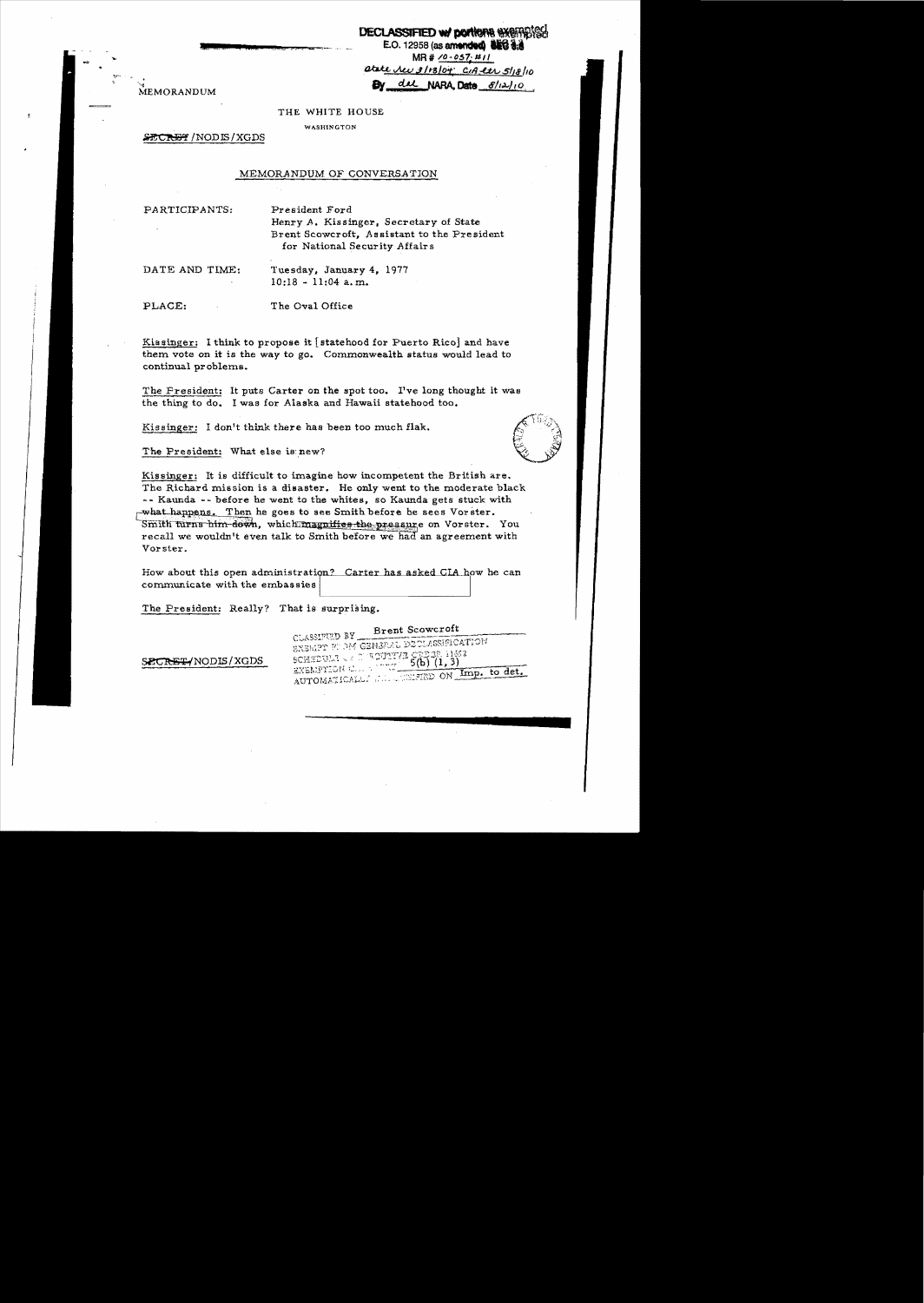**DECLASSIFIED W/ DOM/ONG GYGFABIGG**  $E.O. 12958$  (as amended)  $BEG d.d$  $MR# 70 - 057. #11$ atate <u>New 3/13/04</u> CIA et S/18/10 dal NARA. Date  $S/\sqrt{12}$ 10

MEMORANDUM

#### THE WHITE HOUSE

**WASHINGTON** 

SECRET/NODIS/XGDS

#### MEMORANDUM OF CONVERSATION

PARTICIPANTS:

President Ford Henry A. Kissinger, Secretary of State Brent Scowcroft, Assistant to the President for National Security Affairs

DATE AND TIME:

Tuesday, January 4, 1977  $10:18 - 11:04$  a.m.

PLACE:

The Oval Office

Kissinger: I think to propose it [statehood for Puerto Rico] and have them vote on it is the way to go. Commonwealth status would lead to continual problems.

The President: It puts Carter on the spot too. I've long thought it was the thing to do. I was for Alaska and Hawaii statehood too.

Kissinger: I don't think there has been too much flak.

The President: What else is new?

Kissinger: It is difficult to imagine how incompetent the British are. The Richard mission is a disaster. He only went to the moderate black -- Kaunda -- before he went to the whites, so Kaunda gets stuck with what happens. Then he goes to see Smith before he sees Vorster. Smith turns him down, which magnifies the pressure on Vorster. You recall we wouldn't even talk to Smith before we had an agreement with Vorster.

How about this open administration? Carter has asked CIA how he can communicate with the embassies

The President: Really? That is surprising.

|                   | <b>Brent Scowcroft</b><br>CLASSIFULD BY                              |
|-------------------|----------------------------------------------------------------------|
|                   | EXEMPT FULM GENERAL DECLASSIFICATION                                 |
| SECRET/NODIS/XGDS | SCHEDULA CE D'AOUTTAIN CE DAR 11652<br>EXEMPTION C AOUTT 5(b) (1, 3) |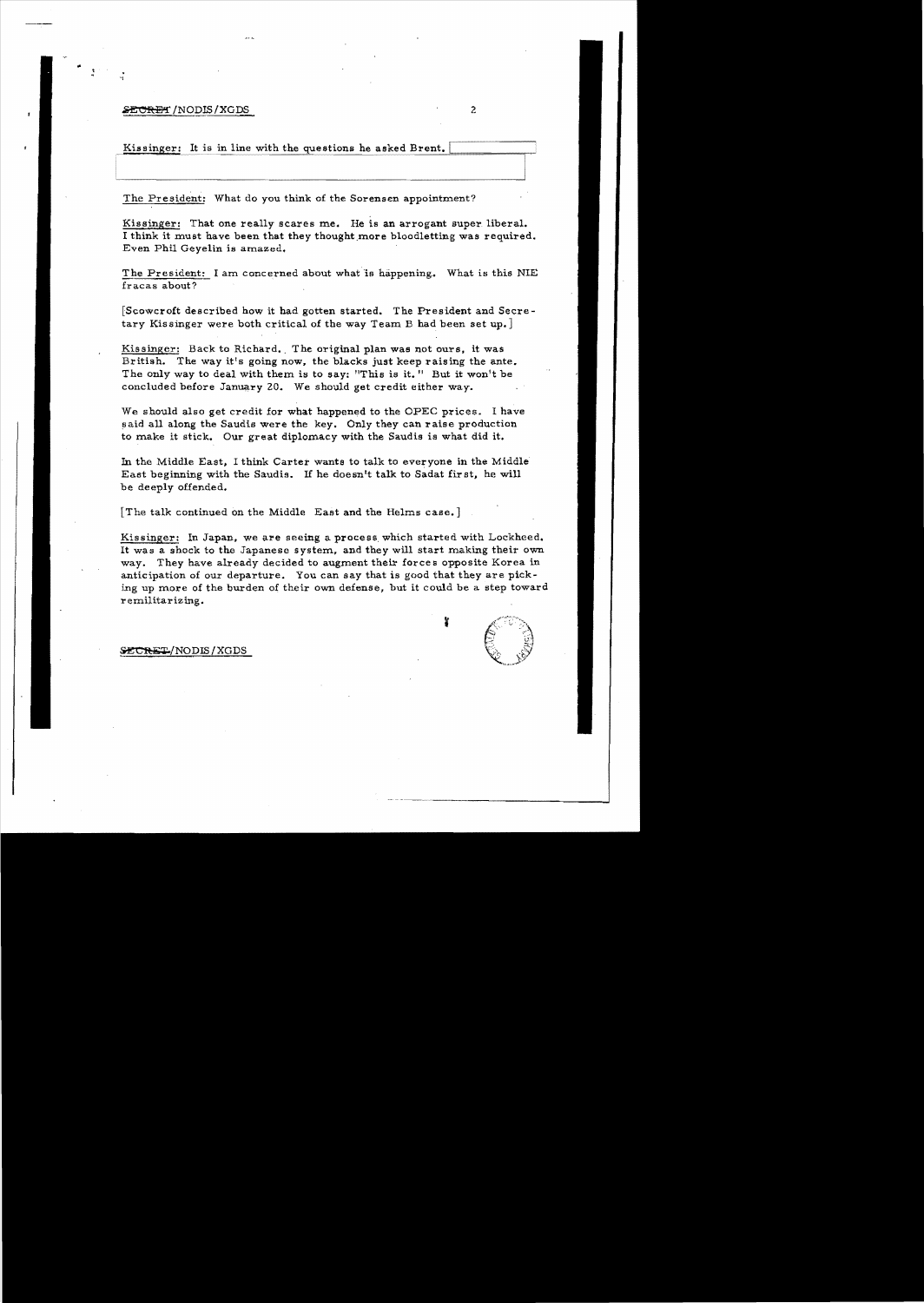### S<del>ECRET</del> /NODIS/XGDS

..

"'

Kissinger: It is in line with the questions he asked Brent.

The President: What do you think of the Sorensen appointment?

Kissinger: That one really scares me. He is an arrogant super liberal. I think it must have been that they thought more bloodletting was required. Even Phil Geyelin is amazed.

The President: I am concerned about what is happening. What is this NIE fracas about?

[Scowcro£t described how it had gotten started. The President and Secretary Kissinger were both critical of the way Team B had been set up.]

Kissinger: Back to Richard. The original plan was not ours, it was British. The way it's going now, the blacks just keep raising the ante. The only way to deal with them is to say: "This is it." But it won't be concluded before January 20. We should get credit either way.

We should also get credit for what happened to the OPEC prices. I have said all along the Saudis were the key. Only they can raise production to make it stick. Our great diplomacy with the Saudis is what did it.

In the Middle East, I think Carter wants to talk to everyone in the Middle East beginning with the Saudis. If he doesn't talk to Sadat fir st, he will be deeply offended.

[The talk continued on the Middle East and the Helms case.]

Kissinger: In Japan. we are seeing a process. which started with Lockheed. It was a shock to the Japanese system. and they will start making their own way. They have already decided to augment their forces opposite Korea in anticipation of our departure. You can say that is good that they are picking up more of the burden of their own defense, but it could be a. step toward remilitarizing.

**&CRET/NODIS/XGDS**